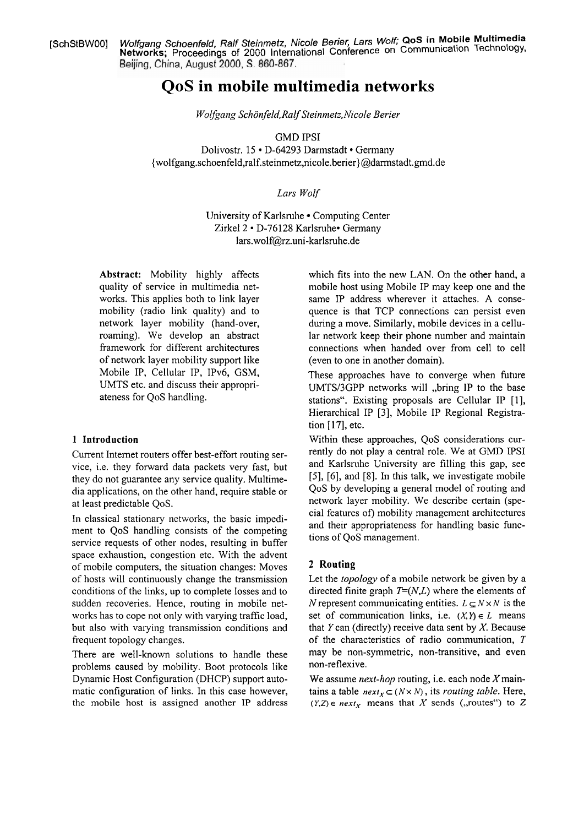ISchSt B WO01 Wolfgang Schoenfeld, Ralf Steinmetz, Nicole Berier, Lars Wolf; **QoS in Mobile Multimedia Networks; Proceedings of 2000 International Conference on Communication Technology,**<br>Beijing, China, August 2000, S. 860-867.

# **QoS in mobile multimedia networks**

*Woljlgang* **Schönfeld,RaifSteinmetz,Nicole** *Berier* 

GMD IPSI

Dolivostr. 15 · D-64293 Darmstadt · Germany **{wolfgang.schoenfeld,ralf.steinmetz,nicole.berier}** @darmstadt.gmd.de

## *Lars Wolf*

University of Karlsruhe • Computing Center Zirkel 2 · D-76128 Karlsruhe Germany **lars.wolf@rz.uni-karlsruhe.de** 

**Abstract:** Mobility highly affects quality of service in multimedia networks. This applies both to link layer mobility (radio link quality) and to network layer mobility (hand-over, roaming). We develop an abstract framework for different architectures of network layer mobility support like Mobile IP, Cellular IP, IPv6, GSM, UMTS etc. and discuss their appropriateness for QoS handling.

#### **1 Introduction**

Current Intemet routers offer best-effort routing service, i.e. they fonvard data packets very fast, but they do not guarantee any service quality. Multimedia applications, on the other hand, require stable or at least predictable QoS.

In classical stationary networks, the basic impediment to QoS handling consists of the competing service requests of other nodes, resulting in buffer space exhaustion, congestion etc. With the advent of mobile Computers, the situation changes: Moves of hosts will continuously change the transmission conditions of the links, up to complete losses and to sudden recoveries. Hence, routing in mobile networks has to cope not only with varying traffic load, but also with varying transmission conditions and frequent topology changes.

There are well-known solutions to handle these problems caused by mobility. Boot protocols like Dynamic Host Configuration (DHCP) support automatic configuration of links. In this case however, the mobile host is assigned another IP address which fits into the new LAN. On the other hand, a mobile host using Mobile IP may keep one and the same IP address wherever it attaches. A consequence is that TCP connections can persist even during a move. Similarly, mobile devices in a cellular network keep their phone number and maintain connections when handed over from cell to cell (even to one in another domain).

These approaches have to converge when future UMTSl3GPP networks will ,,bring IP to the base stations". Existing proposals are Cellular IP [I], Hierarchical IP [3], Mobile IP Regional Registration **[17],** etc.

Within these approaches, QoS considerations currently do not play a central role. We at GMD IPSI and Karlsruhe University are filling this gap, see *[5],* [6], and [8]. In this talk, we investigate mobile QoS by developing a general model of routing and network layer mobility. We describe certain (special features of) mobility management architectures and their appropriateness for handling basic functions of QoS management.

#### **2 Routing**

Let the *topology* of a mobile network be given by a directed finite graph *T=(N,L)* where the elements of N represent communicating entities.  $L \subset N \times N$  is the set of communication links, i.e.  $(X, Y) \in L$  means that Y can (directly) receive data sent by X. Because of the characteristics of radio conmiunication, T may be non-symmetric, non-transitive, and even non-reflexive.

We assume *next-hop* routing, i.e. each node *X* maintains a table  $next_X \subset (N \times N)$ , its *routing table*. Here,  $(Y,Z) \in next_X$  means that X sends ("routes") to Z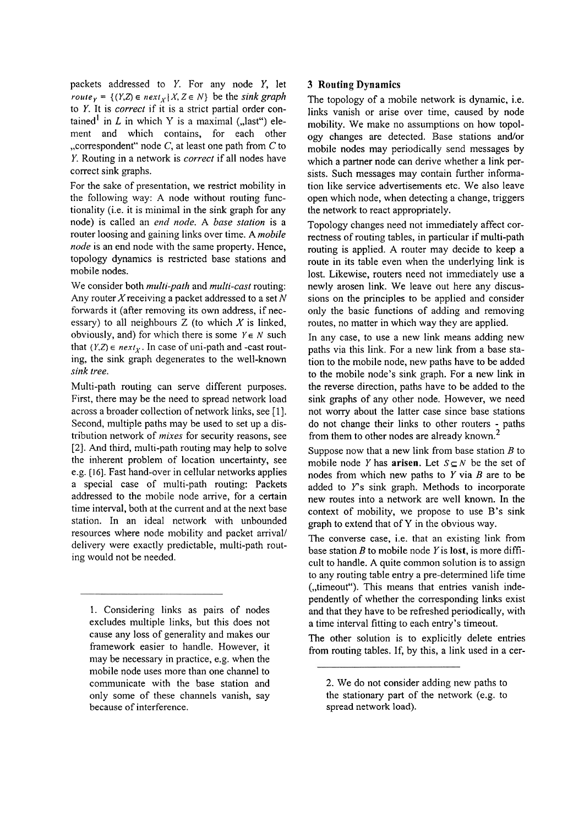packets addressed to *Y.* For any node Y, let *route*<sub>y</sub> = { $(Y,Z) \in next_Y | X, Z \in N$ } be the *sink graph* to *Y.* It is *correct* if it is a strict partial order contained<sup>1</sup> in L in which Y is a maximal ( $\mu$ last") element and which contains, for each other "correspondent" node  $C$ , at least one path from  $C$  to *Y.* Routing in a network is *correct* if all nodes have correct sink graphs.

For the sake of presentation, we restrict mobility in the following way: A node without routing functionality (i.e. it is minimal in the sink graph for any node) is called an *end node. A base station* is a router loosing and gaining links over time. *A mobile node* is an end node with the same property. Hence, topology dynamics is restricted base stations and mobile nodes.

We consider both *multi-path* and *multi-cast* routing: Any router  $X$  receiving a packet addressed to a set  $N$ forwards it (after removing its own address, if necessary) to all neighbours  $Z$  (to which  $X$  is linked, obviously, and) for which there is some  $Y \in N$  such that  $(Y,Z) \in next_X$ . In case of uni-path and -cast routing, the sink graph degenerates to the well-known *sink tree.* 

Multi-path routing can serve different purposes. First, there may be the need to spread network load across a broader collection of network links, see [1]. Second, multiple paths may be used to set up a distribution network of *mixes* for security reasons, see  $[2]$ . And third, multi-path routing may help to solve the inherent problem of location uncertainty, see e.g. **[16].** Fast hand-over in cellular networks applies a special case of multi-path routing: Packets addressed to the mobile node arrive, for a certain time interval, both at the current and at the next base station. In an ideal network with unbounded resources where node mobility and packet arrival/ delivery were exactly predictable, multi-path routing would not be needed.

#### **3 Routing Dynamics**

The topology of a mobile network is dynamic, i.e. links vanish or arise over time, caused by node mobility. We make no assumptions on how topology changes are detected. Base stations and/or mobile nodes may periodically send messages by which a partner node can derive whether a link persists. Such messages may contain further information like Service advertisements etc. We also leave Open which node, when detecting a change, triggers the network to react appropriately.

Topology changes need not immediately affect correctness of routing tables, in particular if multi-path routing is applied. A router may decide to keep a route in its table even when the underlying link is lost. Likewise, routers need not immediately use a newly arosen link. We leave out here any discussions on the principles to be applied and consider only the basic functions of adding and removing routes, no matter in which way they are applied.

In any case, to use a new link means adding new paths via this link. For a new link from a base station to the mobile node, new paths have to be added to the mobile node's sink graph. For a new link in the reverse direction, paths have to be added to the sink graphs of any other node. However, we need not worry about the latter case since base stations do not change their links to other routers - paths from them to other nodes are already known. $2$ 

Suppose now that a new link from base station  $B$  to mobile node *Y* has **arisen**. Let  $S \subseteq N$  be the set of nodes from which new paths to *Y* via B are to be added to  $Y$ s sink graph. Methods to incorporate new routes into a network are well known. In the context of mobility, we propose to use B's sink graph to extend that of Y in the obvious way.

The converse case, i.e. that an existing link from base station B to mobile node *Y* is **lost,** is more difficult to handle. A quite common solution is to assign to any routing table entry a pre-determined life time (,,timeout"). This means that entries vanish independently of whether the corresponding links exist and that they have to be refreshed periodically, with a time interval fitting to each entry's timeout.

The other solution is to explicitly delete entries from routing tables. If, by this, a link used in a cer-

<sup>1.</sup> Considering links as pairs of nodes excludes multiple links, but this does not cause any loss of generality and makes our framework easier to handle. However, it may be necessary in practice, e.g. when the mobile node uses more than one channel to communicate with the base station and only some of these channels vanish, say because of interference.

<sup>2.</sup> We do not consider adding new paths to the stationary part of the network (e.g. to spread network load).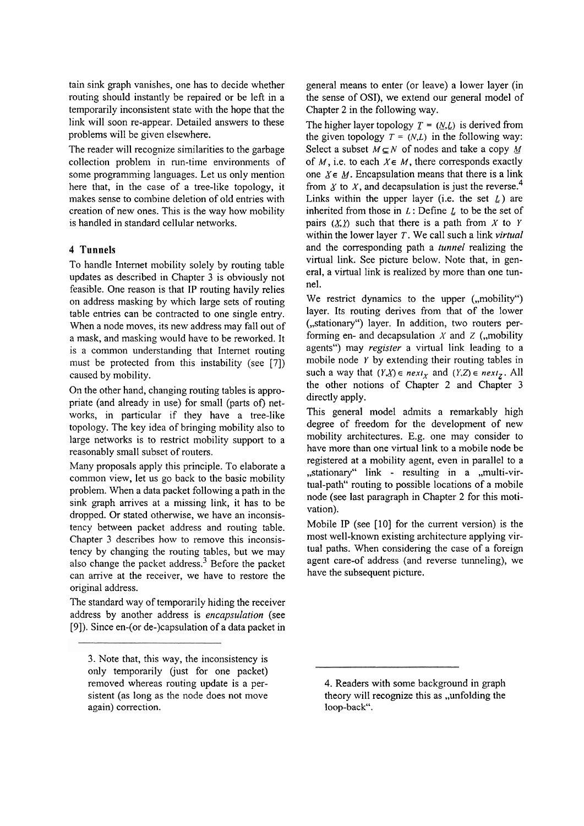tain sink graph vanishes, one has to decide whether routing should instantly be repaired or be left in a temporarily inconsistent state with the hope that the link will soon re-appear. Detailed answers to these problems will be given elsewhere.

The reader will recognize similarities to the garbage collection problem in run-time environments of some programming languages. Let us only mention here that, in the case of a tree-like topology, it makes sense to combine deletion of old entries with creation of new ones. This is the way how mobility is handled in standard cellular networks.

## **4 Tunnels**

To handle Internet mobility solely by routing table updates as described in Chapter **3** is obviously not feasible. One reason is that IP routing havily relies on address masking by which large sets of routing table entries can be contracted to one single entry. When a node moves, its new address may fall out of a mask, and masking would have to be reworked. It is a common understanding that Internet routing must be protected from this instability (see [7]) caused by mobility.

On the other hand, changing routing tables is appropriate (and already in use) for small (parts of) networks, in particular if they have a tree-like topology. The key idea of bringing mobility also to large networks is to restrict mobility support to a reasonably small subset of routers.

Many proposals apply this principle. To elaborate a common view, let us go back to the basic mobility problem. When a data packet following a path in the sink graph arrives at a missing link, it has to be dropped. Or stated otherwise, we have an inconsistency between packet address and routing table. Chapter **3** describes how to remove this inconsistency by changing the routing tables, but we may also change the packet address. $3$  Before the packet can arrive at the receiver, we have to restore the original address.

The standard way of temporarily hiding the receiver address by another address is *encnpsulation* (see [9]). Since en-(or de-)capsulation of a data packet in general means to enter (or leave) a lower layer (in the sense of OSI), we extend our general model of Chapter 2 in the following way.

The higher layer topology  $\underline{T} = (\underline{N}, \underline{L})$  is derived from the given topology  $T = (N,L)$  in the following way: Select a subset  $M \subseteq N$  of nodes and take a copy M of *M*, i.e. to each  $X \in M$ , there corresponds exactly one  $X \in M$ . Encapsulation means that there is a link from  $\chi$  to  $\chi$ , and decapsulation is just the reverse.<sup>4</sup> Links within the upper layer (i.e. the set  $\angle$ ) are inherited from those in  $L:$  Define  $L$  to be the set of pairs  $(X, Y)$  such that there is a path from X to Y within the lower layer *T.* We call such a link *virtual*  and the corresponding path a *tunnel* realizing the virtual link. See picture below. Note that, in general, a virtual link is realized by more than one tunnel.

We restrict dynamics to the upper  $($ "mobility" $)$ layer. Its routing derives from that of the lower ("stationary") layer. In addition, two routers performing en- and decapsulation  $X$  and  $Z$  (,,mobility agents") may *register* a virtual link leading to a mobile node *Y* by extending their routing tables in such a way that  $(Y,X) \in next_X$  and  $(Y,Z) \in next_Z$ . All the other notions of Chapter 2 and Chapter **3**  directly apply.

This general model admits a remarkably high degree of freedom for the development of new mobility architectures. E.g. one may consider to have more than one virtual link to a mobile node be registered at a mobility agent, even in parallel to a "stationary" link - resulting in a "multi-virtual-path" routing to possible locations of a mobile node (see last paragraph in Chapter 2 for this motivation).

Mobile IP (see [10] for the current version) is the most well-known existing architecture applying virtual paths. When considering the case of a foreign agent care-of address (and reverse tunneling), we have the subsequent picture.

**<sup>3.</sup>** Note that, this way, the inconsistency is only temporarily (just for one packet) removed whereas routing update is a persistent (as long as the node does not move again) correction.

<sup>4.</sup> Readers with some background in graph theory will recognize this as ,,unfolding the loop-back".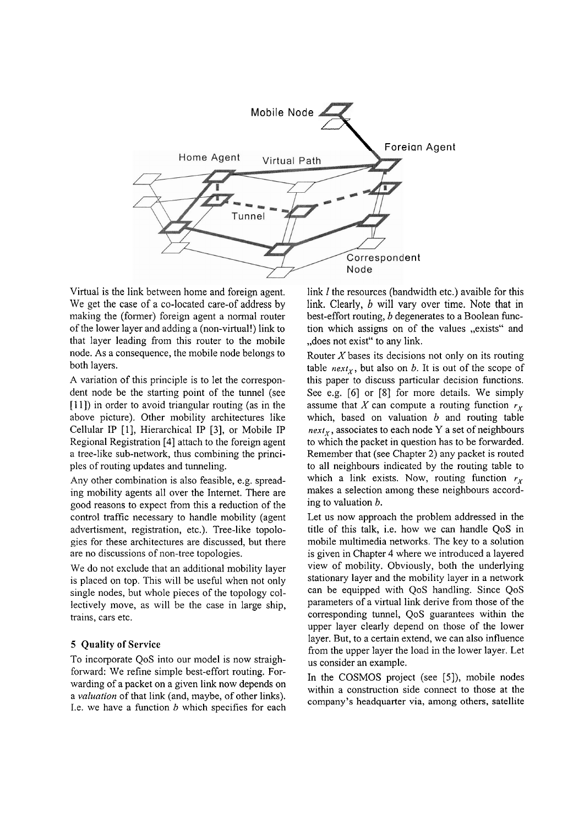

making the (former) foreign agent a normal router of the lower layer and adding a (non-virtual!) link to that layer leading from this router to the mobile node. As a consequence, the mobile node belongs to both layers.

A variation of this principle is to let the correspondent node be the starting point of the tunnel (see [ll]) in order to avoid triangular routing (as in the above picture). Other mobility architectures like Cellular IP [I], Hierarchical IP [3], or Mobile IP Regional Registration [4] attach to the foreign agent a tree-like sub-network, thus combining the principles of routing updates and tunneling.

Any other combination is also feasible, e.g. spreading mobility agents all over the Internet. There are good reasons to expect from this a reduction of the control traffic necessary to handle mobility (agent advertisment, registration, etc.). Tree-like topologies for these architectures are discussed, but there are no discussions of non-tree topologies.

We do not exclude that an additional mobility layer is placed on top. This will be useful when not only single nodes, but whole pieces of the topology collectively move, as will be the case in large ship, trains, cars etc.

## **5 Quality of Service**

To incorporate QoS into our model is now straighforward: We refine simple best-effort routing. Forwarding of a packet on a given link now depends on a *valuation* of that link (and, maybe, of other links). I.e. we have a function  $b$  which specifies for each

Virtual is the link between home and foreign agent. link I the resources (bandwidth etc.) avaible for this We get the case of a co-located care-of address by link. Clearly, b will vary over time. Note that in best-effort routing, b degenerates to a Boolean function which assigns on of the values "exists" and "does not exist" to any link.

> Router  $X$  bases its decisions not only on its routing table  $next<sub>X</sub>$ , but also on b. It is out of the scope of this paper to discuss particular decision functions. See e.g. [6] or [8] for more details. We simply assume that X can compute a routing function  $r<sub>r</sub>$ which, based on valuation  $b$  and routing table  $next<sub>X</sub>$ , associates to each node Y a set of neighbours to which the packet in question has to be fonvarded. Remember that (see Chapter 2) any packet is routed to all neighbours indicated by the routing table to which a link exists. Now, routing function  $r<sub>x</sub>$ makes a selection among these neighbours according to valuation b.

> Let us now approach the problem addressed in the title of this talk, i.e. how we can handle QoS in mobile multimedia networks. The key to a solution is given in Chapter 4 where we introduced a layered view of mobility. Obviously, both the underlying stationary layer and the mobility layer in a network can be equipped with QoS handling. Since QoS Parameters of a virtual link derive from those of the corresponding tumel, QoS guarantees within the upper layer clearly depend on those of the lower layer. But, to a certain extend, we can also influence from the upper layer the load in the lower layer. Let us consider an example.

> In the COSMOS project (see *[5]),* mobile nodes within a construction side comect to those at the company's headquarter via, among others, satellite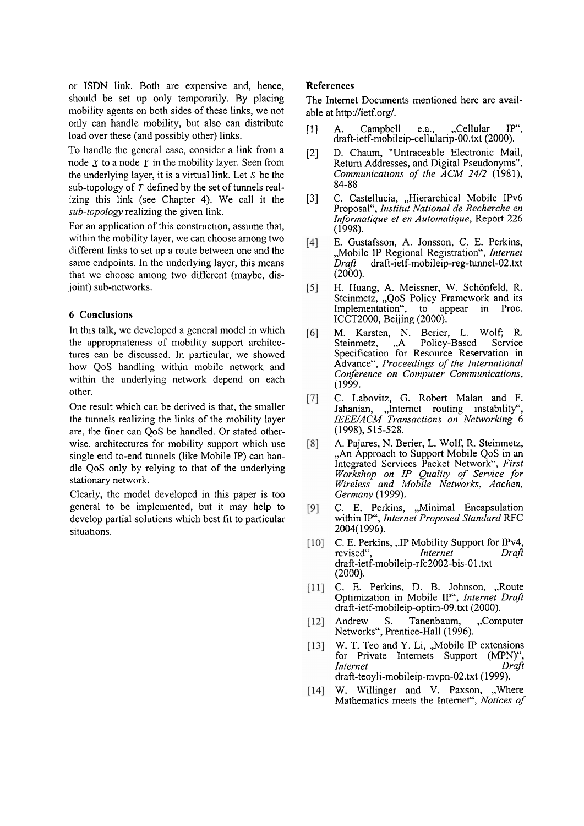or ISDN link. Both are expensive and, hence, should be set up only temporarily. By placing mobility agents on both sides of these links, we not only can handle mobility, but also can distribute load over these (and possibly other) links.

To handle the general case, consider a link from a node  $X$  to a node  $Y$  in the mobility layer. Seen from the underlying layer, it is a virtual link. Let S be the sub-topology of *T* defined by the Set of tunnels realizing this link (see Chapter 4). We call it the *sub-topology* realizing the given link.

For an application of this construction, assume that, within the mobility layer, we can choose among two different links to Set up a route between one and the same endpoints. In the underlying layer, this means that we choose among two different (maybe, disjoint) sub-networks.

## **6 Conclrisions**

In this talk, we developed a general model in which the appropriateness of mobility support architectures can be discussed. In particular, we showed how QoS handling within mobile network and within the underlying network depend on each other.

One result which can be derived is that, the smaller the tunnels realizing the links of the mobility layer are, the finer can QoS be handled. Or stated otherwise, architectures for mobility support which use single end-to-end tunnels (like Mobile IP) can handle QoS only by relying to that of the underlying stationary network.

Clearly, the model developed in this paper is too general to be implemented, but it may help to develop partial solutions which best fit to particular situations.

# **References**

The Internet Documents mentioned here are available at http://ietf.org/.

- [1] A. Campbell e.a., "Cellular IP", **draft-ietf-mobileip-cellularip-00.txt** (2000).
- [2] D. Chaum, "Untraceable Electronic Mail, Return Addresses, and Digital Pseudonyms", *Communications of the ACM* 24/2 (1981), 84-88
- [3] C. Castellucia, "Hierarchical Mobile IPv6 Proposal", *Institut National de Recherche en Informatique et en Automatique, Report 226*  $(1998).$
- E. Gustafsson, A. Jonsson, C. E. Perkins,  $[4]$ "Mobile IP Regional Registration", *Internet Draft* **draft-ietf-mobileip-reg-tunnel-02.txt**   $(2000)$ .
- H. Huang, A. Meissner, W. Schönfeld, R.  $\lceil 5 \rceil$ Steinmetz, "QoS Policy Framework and its Implementation", to appear in Proc. Implementation", to appear in Proc. ICCT2000, Beijing (2000).
- M. Karsten, N. Berier, L. Wolf; R.<br>Steinmetz, "A Policy-Based Service  $[6]$ Policy-Based Specification for Resource Reservation in Advance", *Proceedings of the International Conference on Computer Communications,*   $(1999.$
- C. Labovitz, G. Robert Malan and F.  $[7]$ Jahanian, ,,Internet routing instability", *IEEE/ACM Transactions on Networking* 6 (1998), 515-528.
- $[8]$ A. Pajares, N. Berier, L. Wolf, R. Steinmetz, ,,An Approach to Support Mobile QoS in an Integrated Services Packet Network", *First Workshop on IP Quality of Service for Wireless and Mobile Networks, Aachen. Germany* (1999).
- $[9]$ C. E. Perkins, ,,Minimal Encapsulation within IP", *Internet Proposed Standard* RFC 2004(1996).
- C. E. Perkins, ,,IP Mobility Support for IPv4,  $\lceil 10 \rceil$ revised", *Internet Draft*  draft-ietf-mobileip-rfc2002-bis-0 1 .txt (2000).
- C. E. Perkins, D. B. Johnson, "Route  $\lceil 11 \rceil$ Optimization in Mobile IP", *Internet Draft* **draft-ietf-mobileip-optirn-09.txt** (2000).
- Andrew S. Tanenbaum, "Computer  $\lceil 12 \rceil$ Networks", Prentice-Hall (1996).
- W. T. Teo and Y. Li, "Mobile IP extensions  $\lceil 13 \rceil$ for Private Internets Support (MPN)" *Internet Draft*  **draft-teoyli-mobileip-mvpn-02.txt** (1999).
- W. Willinger and V. Paxson, ,,Where  $[14]$ Mathematics meets the Internet", *Notices of*